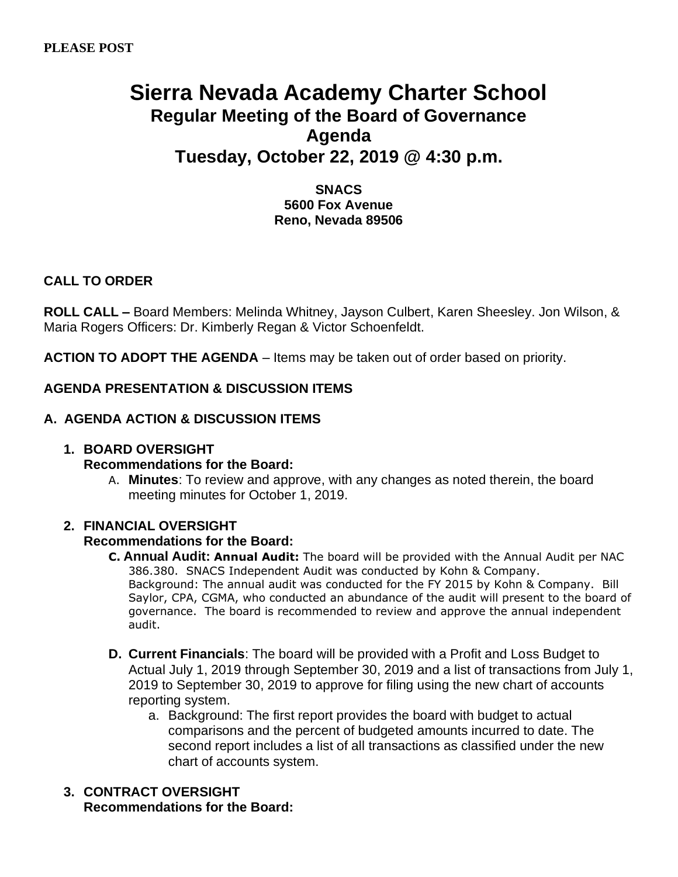# **Sierra Nevada Academy Charter School Regular Meeting of the Board of Governance Agenda Tuesday, October 22, 2019 @ 4:30 p.m.**

**SNACS 5600 Fox Avenue Reno, Nevada 89506**

## **CALL TO ORDER**

**ROLL CALL –** Board Members: Melinda Whitney, Jayson Culbert, Karen Sheesley. Jon Wilson, & Maria Rogers Officers: Dr. Kimberly Regan & Victor Schoenfeldt.

**ACTION TO ADOPT THE AGENDA** – Items may be taken out of order based on priority.

### **AGENDA PRESENTATION & DISCUSSION ITEMS**

### **A. AGENDA ACTION & DISCUSSION ITEMS**

#### **1. BOARD OVERSIGHT**

#### **Recommendations for the Board:**

A. **Minutes**: To review and approve, with any changes as noted therein, the board meeting minutes for October 1, 2019.

# **2. FINANCIAL OVERSIGHT**

### **Recommendations for the Board:**

- **C. Annual Audit: Annual Audit:** The board will be provided with the Annual Audit per NAC 386.380. SNACS Independent Audit was conducted by Kohn & Company. Background: The annual audit was conducted for the FY 2015 by Kohn & Company. Bill Saylor, CPA, CGMA, who conducted an abundance of the audit will present to the board of governance. The board is recommended to review and approve the annual independent audit.
- **D. Current Financials**: The board will be provided with a Profit and Loss Budget to Actual July 1, 2019 through September 30, 2019 and a list of transactions from July 1, 2019 to September 30, 2019 to approve for filing using the new chart of accounts reporting system.
	- a. Background: The first report provides the board with budget to actual comparisons and the percent of budgeted amounts incurred to date. The second report includes a list of all transactions as classified under the new chart of accounts system.

## **3. CONTRACT OVERSIGHT Recommendations for the Board:**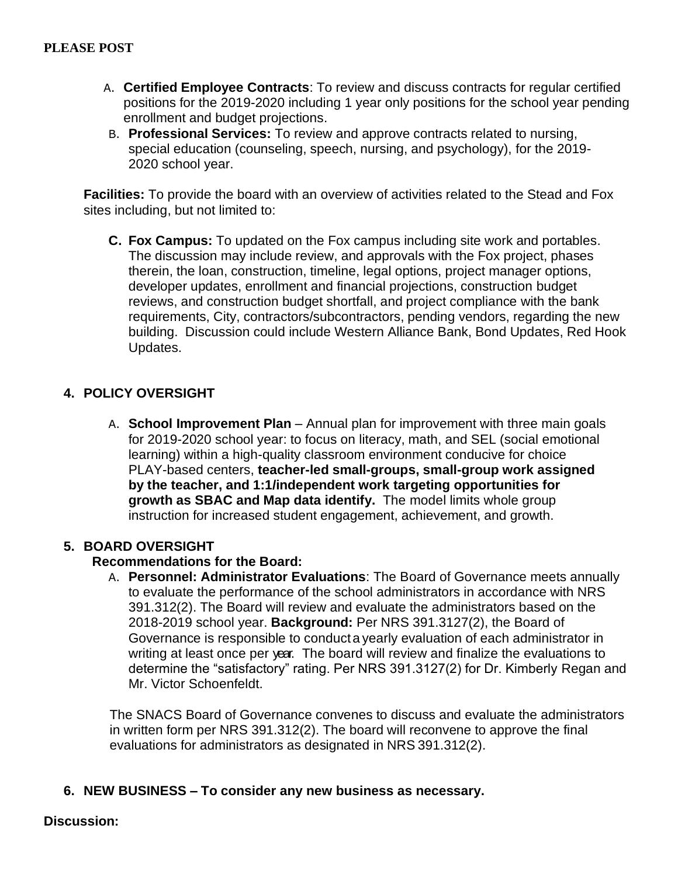- A. **Certified Employee Contracts**: To review and discuss contracts for regular certified positions for the 2019-2020 including 1 year only positions for the school year pending enrollment and budget projections.
- B. **Professional Services:** To review and approve contracts related to nursing, special education (counseling, speech, nursing, and psychology), for the 2019- 2020 school year.

**Facilities:** To provide the board with an overview of activities related to the Stead and Fox sites including, but not limited to:

**C. Fox Campus:** To updated on the Fox campus including site work and portables. The discussion may include review, and approvals with the Fox project, phases therein, the loan, construction, timeline, legal options, project manager options, developer updates, enrollment and financial projections, construction budget reviews, and construction budget shortfall, and project compliance with the bank requirements, City, contractors/subcontractors, pending vendors, regarding the new building. Discussion could include Western Alliance Bank, Bond Updates, Red Hook Updates.

### **4. POLICY OVERSIGHT**

A. **School Improvement Plan** – Annual plan for improvement with three main goals for 2019-2020 school year: to focus on literacy, math, and SEL (social emotional learning) within a high-quality classroom environment conducive for choice PLAY-based centers, **teacher-led small-groups, small-group work assigned by the teacher, and 1:1/independent work targeting opportunities for growth as SBAC and Map data identify.** The model limits whole group instruction for increased student engagement, achievement, and growth.

#### **5. BOARD OVERSIGHT**

#### **Recommendations for the Board:**

A. **Personnel: Administrator Evaluations**: The Board of Governance meets annually to evaluate the performance of the school administrators in accordance with NRS 391.312(2). The Board will review and evaluate the administrators based on the 2018-2019 school year. **Background:** Per NRS 391.3127(2), the Board of Governance is responsible to conducta yearly evaluation of each administrator in writing at least once per year. The board will review and finalize the evaluations to determine the "satisfactory" rating. Per NRS 391.3127(2) for Dr. Kimberly Regan and Mr. Victor Schoenfeldt.

The SNACS Board of Governance convenes to discuss and evaluate the administrators in written form per NRS 391.312(2). The board will reconvene to approve the final evaluations for administrators as designated in NRS 391.312(2).

#### **6. NEW BUSINESS – To consider any new business as necessary.**

#### **Discussion:**